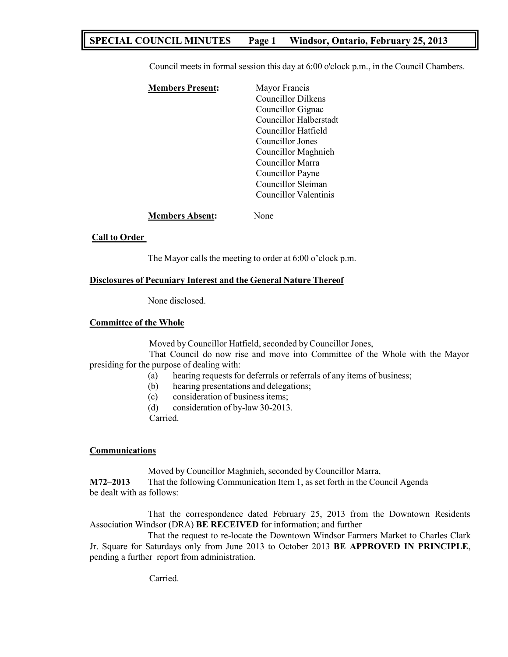# **SPECIAL COUNCIL MINUTES Page 1 Windsor, Ontario, February 25, 2013**

Council meets in formal session this day at 6:00 o'clock p.m., in the Council Chambers.

| <b>Members Present:</b> | Mayor Francis             |
|-------------------------|---------------------------|
|                         | <b>Councillor Dilkens</b> |
|                         | Councillor Gignac         |
|                         | Councillor Halberstadt    |
|                         | Councillor Hatfield       |
|                         | Councillor Jones          |
|                         | Councillor Maghnieh       |
|                         | Councillor Marra          |
|                         | Councillor Payne          |
|                         | Councillor Sleiman        |
|                         | Councillor Valentinis     |
|                         |                           |

## **Members Absent:** None

# **Call to Order**

The Mayor calls the meeting to order at 6:00 o'clock p.m.

# **Disclosures of Pecuniary Interest and the General Nature Thereof**

None disclosed.

# **Committee of the Whole**

Moved by Councillor Hatfield, seconded by Councillor Jones,

That Council do now rise and move into Committee of the Whole with the Mayor presiding for the purpose of dealing with:

- (a) hearing requests for deferrals or referrals of any items of business;
- (b) hearing presentations and delegations;
- (c) consideration of business items;
- (d) consideration of by-law 30-2013.

Carried.

# **Communications**

Moved by Councillor Maghnieh, seconded by Councillor Marra, **M72–2013** That the following Communication Item 1, as set forth in the Council Agenda

be dealt with as follows:

That the correspondence dated February 25, 2013 from the Downtown Residents Association Windsor (DRA) **BE RECEIVED** for information; and further

That the request to re-locate the Downtown Windsor Farmers Market to Charles Clark Jr. Square for Saturdays only from June 2013 to October 2013 **BE APPROVED IN PRINCIPLE**, pending a further report from administration.

Carried.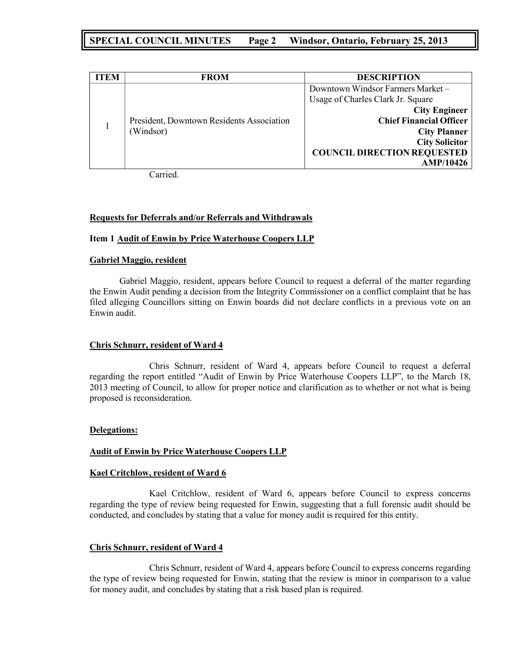# **SPECIAL COUNCIL MINUTES Page 2 Windsor, Ontario, February 25, 2013**

| FEM | <b>FROM</b>                               | <b>DESCRIPTION</b>                 |
|-----|-------------------------------------------|------------------------------------|
|     |                                           | Downtown Windsor Farmers Market -  |
|     |                                           | Usage of Charles Clark Jr. Square  |
|     |                                           | <b>City Engineer</b>               |
|     | President, Downtown Residents Association | <b>Chief Financial Officer</b>     |
|     | (Windsor)                                 | <b>City Planner</b>                |
|     | <b>City Solicitor</b>                     |                                    |
|     |                                           | <b>COUNCIL DIRECTION REQUESTED</b> |
|     |                                           | <b>AMP/10426</b>                   |

Carried.

## **Requests for Deferrals and/or Referrals and Withdrawals**

## **Item 1 Audit of Enwin by Price Waterhouse Coopers LLP**

## **Gabriel Maggio, resident**

Gabriel Maggio, resident, appears before Council to request a deferral of the matter regarding the Enwin Audit pending a decision from the Integrity Commissioner on a conflict complaint that he has filed alleging Councillors sitting on Enwin boards did not declare conflicts in a previous vote on an Enwin audit.

# **Chris Schnurr, resident of Ward 4**

Chris Schnurr, resident of Ward 4, appears before Council to request a deferral regarding the report entitled "Audit of Enwin by Price Waterhouse Coopers LLP", to the March 18, 2013 meeting of Council, to allow for proper notice and clarification as to whether or not what is being proposed is reconsideration.

#### **Delegations:**

# **Audit of Enwin by Price Waterhouse Coopers LLP**

#### **Kael Critchlow, resident of Ward 6**

Kael Critchlow, resident of Ward 6, appears before Council to express concerns regarding the type of review being requested for Enwin, suggesting that a full forensic audit should be conducted, and concludes by stating that a value for money audit is required for this entity.

# **Chris Schnurr, resident of Ward 4**

Chris Schnurr, resident of Ward 4, appears before Council to express concerns regarding the type of review being requested for Enwin, stating that the review is minor in comparison to a value for money audit, and concludes by stating that a risk based plan is required.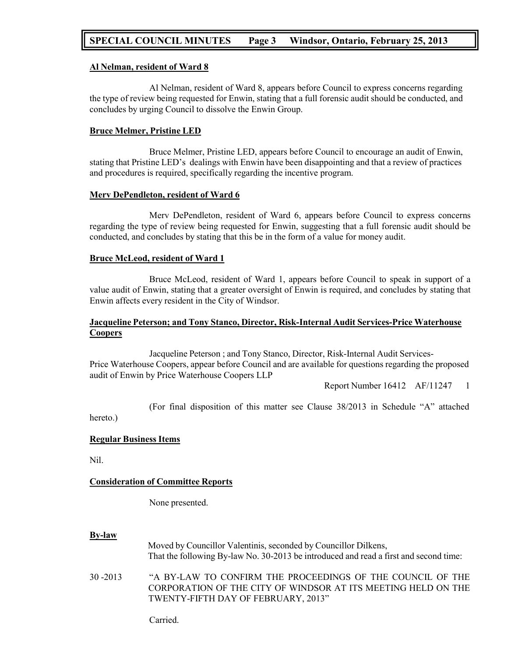# **SPECIAL COUNCIL MINUTES Page 3 Windsor, Ontario, February 25, 2013**

## **Al Nelman, resident of Ward 8**

Al Nelman, resident of Ward 8, appears before Council to express concerns regarding the type of review being requested for Enwin, stating that a full forensic audit should be conducted, and concludes by urging Council to dissolve the Enwin Group.

## **Bruce Melmer, Pristine LED**

Bruce Melmer, Pristine LED, appears before Council to encourage an audit of Enwin, stating that Pristine LED's dealings with Enwin have been disappointing and that a review of practices and procedures is required, specifically regarding the incentive program.

#### **Merv DePendleton, resident of Ward 6**

Merv DePendleton, resident of Ward 6, appears before Council to express concerns regarding the type of review being requested for Enwin, suggesting that a full forensic audit should be conducted, and concludes by stating that this be in the form of a value for money audit.

## **Bruce McLeod, resident of Ward 1**

Bruce McLeod, resident of Ward 1, appears before Council to speak in support of a value audit of Enwin, stating that a greater oversight of Enwin is required, and concludes by stating that Enwin affects every resident in the City of Windsor.

# **Jacqueline Peterson; and Tony Stanco, Director, Risk-Internal Audit Services-Price Waterhouse Coopers**

Jacqueline Peterson ; and Tony Stanco, Director, Risk-Internal Audit Services-Price Waterhouse Coopers, appear before Council and are available for questions regarding the proposed audit of Enwin by Price Waterhouse Coopers LLP

Report Number 16412 AF/11247 1

(For final disposition of this matter see Clause 38/2013 in Schedule "A" attached

hereto.)

#### **Regular Business Items**

Nil.

#### **Consideration of Committee Reports**

None presented.

#### **By-law**

Moved by Councillor Valentinis, seconded by Councillor Dilkens, That the following By-law No. 30-2013 be introduced and read a first and second time:

30 -2013 "A BY-LAW TO CONFIRM THE PROCEEDINGS OF THE COUNCIL OF THE CORPORATION OF THE CITY OF WINDSOR AT ITS MEETING HELD ON THE TWENTY-FIFTH DAY OF FEBRUARY, 2013"

Carried.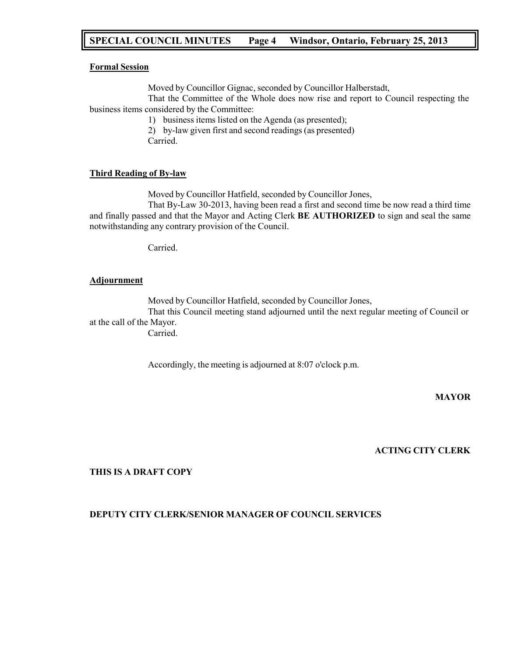# **SPECIAL COUNCIL MINUTES Page 4 Windsor, Ontario, February 25, 2013**

#### **Formal Session**

Moved by Councillor Gignac, seconded by Councillor Halberstadt,

That the Committee of the Whole does now rise and report to Council respecting the business items considered by the Committee:

1) business items listed on the Agenda (as presented);

2) by-law given first and second readings (as presented)

Carried.

# **Third Reading of By-law**

Moved by Councillor Hatfield, seconded by Councillor Jones,

That By-Law 30-2013, having been read a first and second time be now read a third time and finally passed and that the Mayor and Acting Clerk **BE AUTHORIZED** to sign and seal the same notwithstanding any contrary provision of the Council.

Carried.

## **Adjournment**

Moved by Councillor Hatfield, seconded by Councillor Jones,

That this Council meeting stand adjourned until the next regular meeting of Council or at the call of the Mayor.

Carried.

Accordingly, the meeting is adjourned at 8:07 o'clock p.m.

# **MAYOR**

#### **ACTING CITY CLERK**

## **THIS IS A DRAFT COPY**

#### **DEPUTY CITY CLERK/SENIOR MANAGER OF COUNCIL SERVICES**